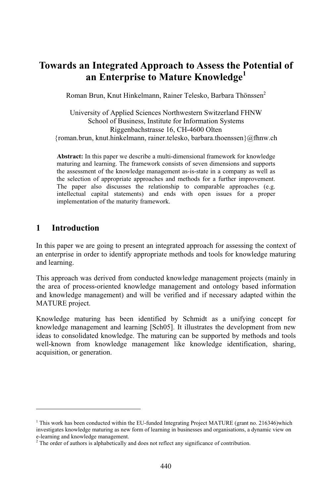## **an Integrated Approach to Assess the Potential of Enterprise to Mature Knowledge<sup>1</sup>** Romanan Enterprise to Mature Knowledge<sup>1</sup><br>Brun, Knut Hinkelmann, Rainer Telesko, Barbara Thönssen<sup>2</sup>

oman Brun, Knut Hinkelmann, Rainer Telesko, Barbara Thönsser.<br>University of Applied Sciences Northwestern Switzerland FHNW  $Brun,$ 

Knut Hinkelmann, Kainer Telesko, Barbara Th<br>FApplied Sciences Northwestern Switzerland F<br>of Business, Institute for Information Systems Applied Sciences Northwestern Switz<br>of Business, Institute for Information 9<br>Riggenbachstrasse 16, CH-4600 Olten  $Univers$ University of Applied Sciences Northwestern Switzerland FHNW<br>
School of Business, Institute for Information Systems<br>
Riggenbachstrasse 16, CH-4600 Olten<br>
Toman.brun, knut.hinkelmann, rainer.telesko, barbara.thoenssen}@flnw ruman

 $a_n$ ; the framework consists of seven dimensions and supports.<br>  $\therefore$  In this paper we describe a multi-dimensional framework for knowledge<br>
and learning. The framework consists of seven dimensions and supports Abstract: In this paper we describe a multi-dimensional framework for knowledge maturing and learning. The framework consists of seven dimensions and supports the assessment of the knowledge management as-is-state in a com Ab stract: In this paper we describe a multi-dimensional framework for knowledge<br>turing and learning. The framework consists of seven dimensions and supports<br>assessment of the knowledge management as-is-state in a company as maturing and learning. The framework consists of seven dimensions and supports paper also discusses the relationship to comparable approaches assessment of the knowledge management as-is-state in a company as well as selection of appropriate approaches and methods for a further improvement.<br>
paper al the assessn nent of the knowledge management as-is-state in a company as well as<br>on of appropriate approaches and methods for a further improvement.<br>also discusses the relationship to comparable approaches (e.g.<br>capital statements) an the selection of appropriate approaches and methods for a further improvement.<br>The paper also discusses the relationship to comparable approaches (e.g. f appropriate approaches a<br>so discusses the relations<br>pital statements) and en<br>of the maturity framework. implementation of the maturity framework.

## In $\mathbf{I}$

1

investigates

Introduction<br>this paper we are going to present an integrated approach for assessing the context of Introduction<br>this paper we are going to present an integrated approach for assessing the context of<br>enterprise in order to identify appropriate methods and tools for knowledge maturing his paper<br>enterprise<br>learning. an enterprise in order to identify appropriate methods and tools for knowledge maturing nterprise in order to identify appropriate methods and tools for knowledge maturing<br>learning.<br>approach was derived from conducted knowledge management projects (mainly in and learning.

defining.<br>In approach was derived from conducted knowledge management projects (mainly in<br>area of process-oriented knowledge management and ontology based information knowledge management projects (mainly in area of process-oriented knowledge management and ontology based information knowledge management) and will be verified and if necessary adapted within the This appro proces<br>f proces<br>ledge ma<br>project. and knowle edge management) and will be verified and if necessary adapted within the<br>project.<br>maturing has been identified by Schmidt as a unifying concept for MATURE project.

project.<br>
In a maturing has been identified by Schmidt as a unifying concept for<br>
property and learning [Sch05]. It illustrates the development from new vledge maturing has been identified by Schmidt as a unifying concept for vledge management and learning [Sch05]. It illustrates the development from new to consolidated knowledge. The maturing can be supported by methods a Knowledge maturing has been identified by Schmidt as a unifying concept for<br>management and learning [Sch05]. It illustrates the development from new<br>isolidated knowledge. The maturing can be supported by methods and tools<br>from knowl knowledge ideas to consolidated knowledge. The maturing can be supported by methods and tools well-known from knowledge management like knowledge identification, sharing, acquisition, or generation.

This work has been conducted within the EU-funded Integrating Project MATURE (grant no. 216346)which has been conducted within the EU-funded Integrating Project MATURE (grant no. 216346) which<br>knowledge maturing as new form of learning in businesses and organisations, a dynamic view on <sup>1</sup> This work has been conducted within the investigates knowledge maturing as new e-learning and knowledge management. i This work has been conducted within the EU-funded Integrating Project MATURE (grant investigates knowledge management.<br>The order of authors is alphabetically and does not reflect any significance of contribution.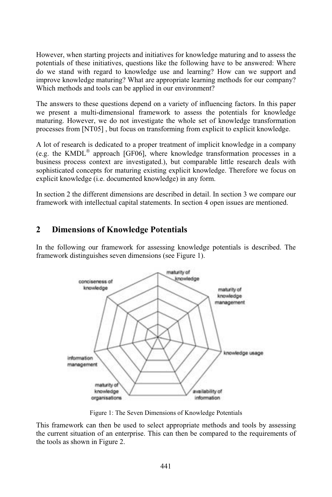when starting projects and initiatives for knowledge maturing and to assess the when starting projects and initiatives for knowledge maturing and to assess the of these initiatives, questions like the following have to be answered: Where However, when starting projects and initiatives for knowledge maturing and to assess the potentials of these initiatives, questions like the following have to be answered: Where do we stand with regard to knowledge use and Howeve r, when starting projects and initiatives for knowledge maturing and to assess the<br>ls of these initiatives, questions like the following have to be answered: Where<br>tand with regard to knowledge use and learning? How can we potentials of these initiatives, questions like the following have to be answered: Where reads of these initiatives, questions like the following h<br>stand with regard to knowledge use and learning?<br>ve knowledge maturing? What are appropriate learning<br>methods and tools can be applied in our environment? improve knowledge maturing? What are appropriate learning methods for our company? rove knowledge maturing? What are appropriate learning methods for our company?<br>ich methods and tools can be applied in our environment?<br>answers to these questions depend on a variety of influencing factors. In this paper Which methods and tools can be applied in our environment?

present a multi-dimensional framework to assess the potentials for knowledge<br>present a multi-dimensional framework to assess the potentials for knowledge The answers to these questions depend on a variety of influencing factors. In this paper we present a multi-dimensional framework to assess the potentials for knowledge maturing. However, we do not investigate the whole se The answ from these questions depend on a variety of influencing factors. In this paper a multi-dimensional framework to assess the potentials for knowledge.<br>However, we do not investigate the whole set of knowledge transformation<br>  $\mathbf m$ maturing. However, we do not investigate the whole set of knowledge transformation<br>processes from [NT05], but focus on transforming from explicit to explicit knowledge.<br>A lot of research is dedicated to a proper treatment processes from  $[NT05]$ , but

esses from [NT05], but focus on transforming from explicit to explicit knowledge.<br>
t of research is dedicated to a proper treatment of implicit knowledge in a company<br>
the KMDL® approach [GF06], where knowledge transformat research is dedicated to a proper treatment of implicit knowledge in a company<br>EXMDL<sup>®</sup> approach [GF06], where knowledge transformation processes in a<br>process context are investigated.), but comparable little research deal A lot of resea arch is dedicated to a proper treatment of implicit knowledge in a company<br>
IDL<sup>®</sup> approach [GF06], where knowledge transformation processes in a<br>
cess context are investigated.), but comparable little research deals with<br>  $(e.g.$ th business process context are investigated.), but comparable little research deals with sophisticated concepts for maturing existing explicit knowledge. Therefore we focus on phisticated concepts for maturing existing explicit knowledge. Therefore we focus on plicit knowledge (i.e. documented knowledge) in any form.<br>section 2 the different dimensions are described in detail. In section 3 we com explicit knowledge (i.e. documented knowledge) in any form.

dge (i.e. documented knowledge) in any form.<br>different dimensions are described in detail. In section 3 we compare of<br>intellectual capital statements. In section 4 open issues are mentioned. **2** Dimensions of Knowledge Potentials

## $2^{\circ}$ **Dimensions of Knowledge Potentials**

**Dimensions of Knowledge Potentials**<br>the following our framework for assessing knowledge potentials is described. The **ensions of Knowledge Potentials**<br>owing our framework for assessing knowledg<br>distinguishes seven dimensions (see Figure 1).



 framework can then be used to select appropriate methods and tools by assessing Figure 1: The Seven Dimensions of Knowledge Potentials<br>is framework can then be used to select appropriate methods and tools by assessing<br>current situation of an enterprise. This can then be compared to the requirements of to the sign of the sign of the set of the set of the set of the set of the set of the set of the set of the set of 2.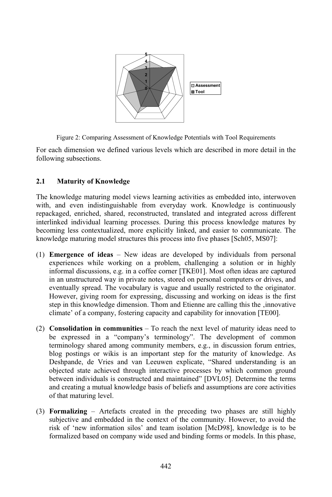

Figure 2: Comparing Assessment of Knowledge Potentials with Tool Requirements<br>each dimension we defined various levels which are described in more detail in the

sure 2: Company<br>dimension w<br>subsections. following subsections.

### **Maturity of Knowledge**  $2.1$

2.1 Maturity of Knowledge<br>The knowledge maturing model views learning activities as embedded into, interwoven Maturity of Knowledge<br>knowledge maturing model views learning activities as embedded into, interwoven<br>and even indistinguishable from everyday work. Knowledge is continuously dge maturing model views learning activities as embedded into, interwoven<br>even indistinguishable from everyday work. Knowledge is continuously<br>enriched, shared, reconstructed, translated and integrated across different edge maturing model views learning activities as embedded into, interwoven<br>even indistinguishable from everyday work. Knowledge is continuously<br>d, enriched, shared, reconstructed, translated and integrated across different with, and leven indistinguishable from everyday work. Knowledge is continuously<br>d, enriched, shared, reconstructed, translated and integrated across different<br>d individual learning processes. During this process knowledge matures by repackaged, enriched, shared, reconstructed, translated and integrated across different interlinked individual learning processes. During this process knowledge matures by I, enriched, shared, reconstructed, translated and integrated across di-<br>individual learning processes. During this process knowledge matu-<br>less contextualized, more explicitly linked, and easier to communicate<br>maturing mo  $be$ Emergence of **ideas** – New ideas are developed by individuals from personal<br>**Emergence of ideas** – New ideas are developed by individuals from personal knowledge maturing model structures this process into five phases [Sch05, MS07]:

- Fixtuary model structures this process into five phases [Sch05, MS07]:<br>
of ideas New ideas are developed by individuals from personal<br>
while working on a problem, challenging a solution or in highly nce of ideas – New ideas are developed by individuals from personal ces while working on a problem, challenging a solution or in highly discussions, e.g. in a coffee corner [TKE01]. Most often ideas are captured  $\bf{F}$ mergence of ideas – New ideas are developed by individuals from personal<br>periences while working on a problem, challenging a solution or in highly<br>formal discussions, e.g. in a coffee corner [TKE01]. Most often ideas are c experience is while working on a problem, challenging a solution or in highly iscussions, e.g. in a coffee corner [TKE01]. Most often ideas are captured uctured way in private notes, stored on personal computers or drives, and spread informal <mark>(</mark> discussions, e.g. in a coffee corner [TKE01]. Most often ideas are captured<br>ructured way in private notes, stored on personal computers or drives, and<br>y spread. The vocabulary is vague and usually restricted to the origina in a In unstructured way in private notes, stored on personal computers or drives, and<br>this knowledge dimension. Thom and Etienne are calling this the first<br>in this knowledge dimension. Thom and Etienne are calling this the , i eventually spread. The vocabulary is vague and usually restricted to the originator.<br>However, giving room for expressing, discussing and working on ideas is the first lly spread. The vocabulary is vague and usually restricted to the origin<br>r, giving room for expressing, discussing and working on ideas is the<br>his knowledge dimension. Thom and Etienne are calling this the , innov<br>of a com **Consolidation** in communities – To reach the next level of maturity ideas need to **Consolidation** in **communities** – To reach the next level of maturity ideas need to cli
- mate' of a company, fostering capacity and capability for innovation [TE00].<br> **onsolidation in communities** To reach the next level of maturity ideas need to<br>
expressed in a "company's terminology". The development of co **on in communities** – To reach the next level of maturity ideas need to ed in a "company's terminology". The development of common shared among community members, e.g., in discussion forum entries, (2) Consolidation in communities  $-$  To reach the next level of maturity ideas need to solidation in communities – To reach the next level of maturity ideas need to<br>expressed in a "company's terminology". The development of common<br>inology shared among community members, e.g., in discussion forum entries,<br>pos be express ed in a "company's terminology". The development of common<br>v shared among community members, e.g., in discussion forum entries,<br>gs or wikis is an important step for the maturity of knowledge. As<br>de Vries and van Leeuwen ex terminol ogy shared among community members, e.g., in discussion forum entries, stings or wikis is an important step for the maturity of knowledge. As de, de Vries and van Leeuwen explicate, "Shared understanding is an state achiev blog po stings or wikis is an important step for the maturity of knowledge. As<br>ide, de Vries and van Leeuwen explicate, "Shared understanding is an<br>i state achieved through interactive processes by which common ground<br>individuals Des shpande, de Vries and van Leeuwen explicate, "Shared understanding is an ected state achieved through interactive processes by which common ground ween individuals is constructed and maintained" [DVL05]. Determine the term objected state achieved through interactive processes by which common ground by ected state achievit<br>tween individuals is<br>id creating a mutual<br>that maturing level. and creating a mutual knowledge basis of beliefs and assumptions are core activities of that maturing level.
- of that maturing level.<br> **Formalizing** Artefacts created in the preceding two phases are still highly<br>
subjective and embedded in the context of the community. However, to avoid the subjective and embedded in the context of the community. However, to avoid the risk of 'new information silos' and team isolation [McD98], knowledge is to be formalized based on company wide used and binding forms or models. In this phase,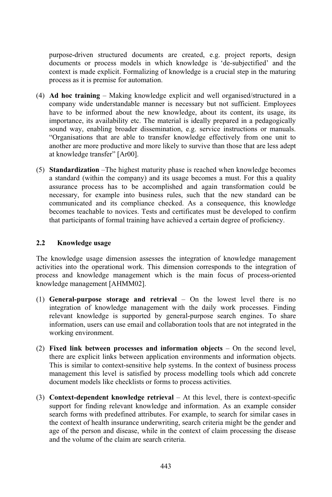purpose-driven structured documents are created, e.g. project reports, design iven structured documents are created, e.g. project reports, design<br>or process models in which knowledge is 'de-subjectified' and the e-driven structured documents are created, e.g. project reports, designents or process models in which knowledge is 'de-subjectified' and the is made explicit. Formalizing of knowledge is a crucial step in the maturing purpose A set-driven structured documents<br>tents or process models in wh<br>is made explicit. Formalizing as<br>as it is premise for automation. **Ad hoc training** – Making knowledge is a crucial step in the maturing process as it is premise for automation.<br> **Ad hoc training** – Making knowledge explicit and well organised/structured in a process as it is premise for automation.

- process as it is premise for automation.<br> **Ad hoc training** Making knowledge explicit and well organised/structured in a<br>
company wide understandable manner is necessary but not sufficient. Employees **the informed about the new knowledge explicit and well organised/structured in a**<br>pany wide understandable manner is necessary but not sufficient. Employees<br>to be informed about the new knowledge, about its content, its u Ad hoc training – Making knowledge explicit and well organised/structured in a<br>company wide understandable manner is necessary but not sufficient. Employees<br>have to be informed about the new knowledge, about its content, i company wide understandable manner is necessary but not sufficient. Employees any wide understandable manner is necessary but not sufficient. Employees<br>to be informed about the new knowledge, about its content, its usage, its<br>tance, its availability etc. The material is ideally prepared in a pedagog formed about the new knowledge, about its content, its usage, its<br>availability etc. The material is ideally prepared in a pedagogically<br>abling broader dissemination, e.g. service instructions or manuals.<br>that are able to t importance, its availability etc. The material is ideally prepared in a pedagogically are more, its availability etc. The material is ideally prepared in a pedagogically way, enabling broader dissemination, e.g. service instructions or manuals. is stimulated in that are able to transfer knowledge effectivel  $\mathbf{S}^{\mathcal{C}}$ "Organisations that are able to transfer knowledge effectively from one unit to another are more productive and more likely to survive than those that are less adept at knowledge transfer" [Ar00].
- t knowledge transfer" [Ar00].<br> **Itandardization** –The highest maturity phase is reached when knowledge becomes<br>
standard (within the company) and its usage becomes a must. For this a quality **ization** –The highest maturity phase is reached when knowledge becomes 1 (within the company) and its usage becomes a must. For this a quality process has to be accomplished and again transformation could be Standard **ization** – The highest maturity phase is reached when knowledge becomes<br>(within the company) and its usage becomes a must. For this a quality<br>process has to be accomplished and again transformation could be<br>for example in a standard (within the company) and its usage becomes a must. For this a quality thin the company) and its usage becomes a must. For this a quality<br>cess has to be accomplished and again transformation could be<br>example into business rules, such that the new standard can be<br>and its compliance checked. As assurance process has to be accomplished and again transformation could be e process has to be accomplished and again transformation could be<br>y, for example into business rules, such that the new standard can be<br>icated and its compliance checked. As a consequence, this knowledge<br>teachable to novi nec communicated and its compliance checked. As a consequence, this knowledge becomes teachable to novices. Tests and certificates must be developed to confirm **2.2 Knowledge usage**

## 2.2 Knowledge usage

2.2 Knowledge usage<br>The knowledge usage dimension assesses the integration of knowledge management into the dimensional system is the integration of knowledge management<br>into the operational work. This dimension corresponds to the integration of owledge usage dimension assesses the integration of knowledge management<br>as into the operational work. This dimension corresponds to the integration of<br>and knowledge management which is the main focus of process-oriented ledge usage dimension as<br>nto the operational work.<br>Id knowledge managemen<br>management [AHMM02]. process and knowledge management which is the main focus of process-oriented<br>knowledge management [AHMM02].<br>(1) **General-purpose storage and retrieval** – On the lowest level there is no knowledge management [AHMM02].

- nagement [AHMM02].<br> **urpose storage and retrieval** On the lowest level there is no<br>
of knowledge management with the daily work processes. Finding **l-purpose storage and retrieval** – On the lowest level there is no<br>ion of knowledge management with the daily work processes. Finding<br>knowledge is supported by general-purpose search engines. To share (1) General-purpose storage and retrieval  $-$  On the lowest level there is no **rpose storage and retrieval**  $-$  On the lowest level there is no of knowledge management with the daily work processes. Finding owledge is supported by general-purpose search engines. To share users can use email and col integrati relevant knowledge is supported by general-purpose search engines. To share **heta h h fixed h c e c n information collaboration tools** that are not integrated in the working environment.
- working environment.<br>Fixed link between processes and information objects On the second level,<br>there are explicit links between application environments and information objects. **Fixed link between processes and information objects** – On the second level, there are explicit links between application environments and information objects. This is similar to context-sensitive help systems. In the con between processes and information objects – On the second level,<br>plicit links between application environments and information objects.<br>ar to context-sensitive help systems. In the context of business process<br>this level is explicit links between application environments and<br>milar to context-sensitive help systems. In the conte-<br>ent this level is satisfied by process modelling tool<br>models like checklists or forms to process activities. management this level is satisfied by process modelling tools which add concrete document models like checklists or forms to process activities.
- forms to process activities.<br> **Context-dependent knowledge retrieval** At this level, there is context-specific<br>
support for finding relevant knowledge and information. As an example consider **Context-dependent knowledge retrieval** – At this level, there is context-specific support for finding relevant knowledge and information. As an example consider search forms with predefined attributes. For example, to sea ntext-dependent knowledge retrieval – At this level, there is context-specific<br>port for finding relevant knowledge and information. As an example consider<br>rch forms with predefined attributes. For example, to search for si port for finding relevant knowledge and information. As an example consider rch forms with predefined attributes. For example, to search for similar cases in context of health insurance underwriting, search criteria might sea the context of health insurance underwriting, search criteria might be the gender and age of the person and disease, while in the context of claim processing the disease and the volume of the claim are search criteria.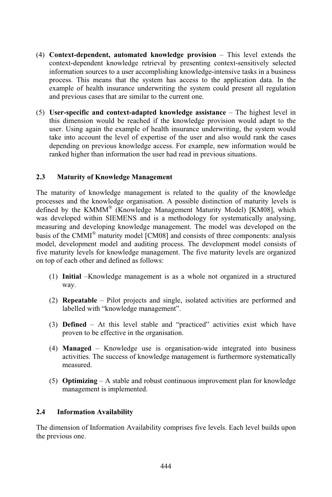- **Context-dependent, automated knowledge provision** This level extends the **nt, automated knowledge provision** – This level extends the<br>knowledge retrieval by presenting context-sensitively selected **Context-dependent, automated knowledge provision** – This level extends the context-dependent knowledge retrieval by presenting context-sensitively selected information sources to a user accomplishing knowledge-intensive t Context **E-dependent, automated knowledge provision** – This level extends the dependent knowledge retrieval by presenting context-sensitively selected tion sources to a user accomplishing knowledge-intensive tasks in a business Th contextdependent knowledge retrieval by presenting context-sensitively selected<br>ion sources to a user accomplishing knowledge-intensive tasks in a business<br>This means that the system has access to the application data. In the<br>of <sub>int</sub> information sources to a user accomplishing knowled<br>process. This means that the system has access t<br>example of health insurance underwriting the syste<br>and previous cases that are similar to the current one. example of health insurance underwriting the system could present all regulation<br>and previous cases that are similar to the current one.<br>User-specific and context-adapted knowledge assistance – The highest level in
- previous cases that are similar to the current one.<br> **example 3** are similar to the current one.<br> **dimension would be reached if the knowledge provision would adapt to the** specific and context-adapted knowledge assistance – The highest level in dimension would be reached if the knowledge provision would adapt to the Using again the example of health insurance underwriting, the system would **Expectitic and context-adapted knowledge assistance**  $-$  The highest level in dimension would be reached if the knowledge provision would adapt to the Using again the example of health insurance underwriting, the system this dimer ission would be reached if the knowledge provision would adapt to the<br>g again the example of health insurance underwriting, the system would<br>account the level of expertise of the user and also would rank the cases<br>on previ user. Using again the example of health insurance underwriting, the system would Ising again the example of health insurance underwriting, the sto account the level of expertise of the user and also would raing on previous knowledge access. For example, new information higher than information the user **2.3 Maturity of Knowledge Management**

## 2.3 Maturity of Knowledge Management

Maturity of Knowledge Management<br>maturity of knowledge management is related to the quality of the knowledge aturity of Knowledge Management<br>urity of knowledge management is related to the quality of the knowledge<br>and the knowledge organisation. A possible distinction of maturity levels is defined a strategie of the strategie of the strategie of the strategie of the strategie of the strategie of th<br>The strategie of the strategie of the strategie of the strategie of the strategie of the strategie of the strat The maturity of knowledge management is related to the quality of the knowledge<br>processes and the knowledge organisation. A possible distinction of maturity levels is<br>defined by the KMMM® (Knowledge Management Maturity Mod The maturity of knowledge management is related to the quality of the knowledge<br>cesses and the knowledge organisation. A possible distinction of maturity levels is<br>ned by the KMMM<sup>®</sup> (Knowledge Management Maturity Model) [KM08 and the knowledge organisation. A possible distinction of maturity levels is<br>y the KMMM<sup>®</sup> (Knowledge Management Maturity Model) [KM08], which<br>oped within SIEMENS and is a methodology for systematically analysing,<br>and dev defin ed by the KMMM<sup>-</sup> (Knowledge Management Maturity Model) [KM08], which<br>developed within SIEMENS and is a methodology for systematically analysing,<br>uring and developing knowledge management. The model was developed on the<br>of was developed within SIEMENS and is a methodology for systematically analysing, eveloped within SIEMENS and is a methodology for systematically analysing,<br>ring and developing knowledge management. The model was developed on the<br>f the CMMI® maturity model [CM08] and consists of three components: analys measuring and developing knowledge management. The model was developed on the suring and developing knowledge management. The model was developed on the<br>s of the CMMI® maturity model [CM08] and consists of three components: analysis<br>lel, development model and auditing process. The development model ba sis of the CMMI<sup>®</sup> maturity model [CM03<br>odel, development model and auditing p<br>re maturity levels for knowledge manage<br>top of each other and defined as follows: maturity levels for knowledge management. The five maturity levels are organized<br>op of each other and defined as follows:<br>(1) **Initial** –Knowledge management is as a whole not organized in a structured on top of each other and defined as follows:

- (1) **Initial** Knowledge management is as a whole not organized in a structured way.<br>
(2) **Repeatable** Pilot projects and single, isolated activities are performed and way.
- **able** Pilot projects and single<br>with "knowledge management". (2) **Repeatable** – Pilot projects and single, isolated activities are performed and labelled with "knowledge management".<br>
(3) **Defined** – At this level stable and "practiced" activities exist which have labelled with "knowledge management".
- d with "knowledge management".<br> $\mathbf{d}$  At this level stable and "p to be effective in the organisation. (3) **Defined** – At this level stable and "practiced" activities exist which have<br>proven to be effective in the organisation.<br>(4) **Managed** – Knowledge use is organisation-wide integrated into business proven to be effective in the organisation.
- $(4)$  **Managed** Knowledge use is organisation-wide integrated into business measured. activities. The success of knowledge management is furthermore systematically
- (5) **Optimizing** A stable and robust continuous improvement plan for knowledge **2.4** Information Availability

## $2.4$

Information Availability<br>dimension of Information Availability comprises five levels. Each level builds upon Informat.<br>e dimension of<br>previous one.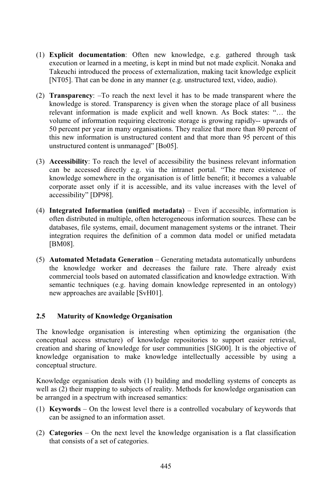- **Explicit documentation**: Often new knowledge, e.g. gathered through task **documentation**: Often new knowledge, e.g. gathered through task or learned in a meeting, is kept in mind but not made explicit. Nonaka and **Explicit documentation**: Often new knowledge, e.g. gathered through task execution or learned in a meeting, is kept in mind but not made explicit. Nonaka and Takeuchi introduced the process of externalization, making taci Explicit documentation: Often new knowledge, e.g. gathered through<br>that can be done in a meeting, is kept in mind but not made explicit. Nona<br>in introduced the process of externalization, making tacit knowledge<br>That can be done in Takeuchi introduced the process of externalization, making tacit knowledge explicit [NT05]. That can be done in any manner (e.g. unstructured text, video, audio).<br>**Transparency**: –To reach the next level it has to be made [NT05]. That can be done in any manner (e.g. unstructured text, video, audio).
- is star star show in any manner (e.g. unstructured text, video, audio).<br> **incy**: -To reach the next level it has to be made transparent where the<br>
is stored. Transparency is given when the storage place of all business arency: -To reach the next level it has to be made transparent where the dge is stored. Transparency is given when the storage place of all business information is made explicit and well known. As Bock states: "... the Transp **Summaries:** -To reach the next level it has to be made transparent where the dge is stored. Transparency is given when the storage place of all business t information is made explicit and well known. As Bock states: "... knowledge is stored. Transparency is given when the storage place of all business percent per stored. Transparency is given when the storage place of all business<br>evant information is made explicit and well known. As Bock states: "... the<br>lume of information requiring electronic storage is growing rapid relevant information is made explicit and well known. As Bock states: "... the vant information is made explicit and well known. As Bock states: "... the ume of information requiring electronic storage is growing rapidly-- upwards of percent per year in many organisations. They realize that more than volume of 11 nformation requiring electronic<br>er year in many organisations. T<br>ormation is unstructured conter<br>content is unmanaged" [Bo05]. this new information is unstructured content and that more than 95 percent of this unstructured content is unmanaged" [Bo05].<br>**Accessibility**: To reach the level of accessibility the business relevant information unstructured content is unmanaged" [Bo05].
- tructured content is unmanaged" [Bo05].<br> **Example 3** rescribility: To reach the level of accessibility the business relevant information<br>
be accessed directly e.g. via the intranet portal. "The mere existence of Accessibility: To reach the level of accessibility the business relevant information can be accessed directly e.g. via the intranet portal. "The mere existence of knowledge somewhere in the organisation is of little benefi Accessib ifty: To reach the level of accessibility the business relevant information accessed directly e.g. via the intranet portal. "The mere existence of ge somewhere in the organisation is of little benefit; it becomes a valuabl can be acces knowledge somewhere in the organisation is of little benefit; it becomes a valuable **Integrate asset only if it is accessible, and its value increases with the level of** accessibility" [DP98].
- isibility" [DP98].<br>**grated Information (unified metadata)** Even if accessible, information is<br>distributed in multiple, often heterogeneous information sources. These can be **d Information (unified metadata)** – Even if accessible, information is ibuted in multiple, often heterogeneous information sources. These can be file systems, email, document management systems or the intranet. Their (4) Integrated Information (unified metadata) – Even if accessible, information is **Information (unified metadata)** – Even if accessible, information is<br>buted in multiple, often heterogeneous information sources. These can be<br>file systems, email, document management systems or the intranet. Their<br>require often dis [BM08]. integration requires the definition of a common data model or unified metadata
- M08].<br>**tomated Metadata Generation** Generating metadata automatically unburdens<br>knowledge worker and decreases the failure rate. There already exist Automated Metadata Generation – Generating metadata automatically unburdens<br>the knowledge worker and decreases the failure rate. There already exist<br>commercial tools based on automated classification and knowledge extracti Automa ted Metadata Generation – Generating metadata automatically unburdens<br>wledge worker and decreases the failure rate. There already exist<br>cial tools based on automated classification and knowledge extraction. With<br>techniques knowledge worker and decreas<br>mercial tools based on automated a<br>antic techniques (e.g. having don<br>approaches are available [SvH01]. new approaches are available [SvH01]. **Kaon Exercise Exercise Serversity Conceptual Conceptual Conceptual Conceptual Conceptual Conceptual Conceptual Conceptual Conceptual Conceptual Conceptual Conceptual Conceptual Conceptual Conceptual Conceptual Conceptual**

Maturity of Knowledge Organisation<br>knowledge organisation is interesting when optimizing the organisation (the **turity of Knowledge Organisation**<br>
ledge organisation is interesting when optimizing the organisation (the<br>
access structure) of knowledge repositories to support easier retrieval. owledge organisation is interesting when optimizing the organisation (the ual access structure) of knowledge repositories to support easier retrieval, and sharing of knowledge for user communities [SIG00]. It is the object The know ledge organisation is interesting when optimizing the organisation (the access structure) of knowledge repositories to support easier retrieval, d sharing of knowledge for user communities [SIG00]. It is the objective of o conceptualaccess<br>id sharing<br>organisa<br>structure. Knowledgeorganisation to make knowledge intellectually accessible by using a structure.<br>structure organisation deals with (1) building and modelling systems of concepts as conceptual structure.

eptual structure.<br>wledge organisation deals with (1) building and modelling systems of concepts as<br>as (2) their mapping to subjects of reality. Methods for knowledge organisation can arranged in a spectrum deals with (1) building and the sell as (2) their mapping to subjects of reality. Metarranged in a spectrum with increased semantics: (1) **Keywords** – On the lowest level there is a controlled vocabulary of keywords that<br>
(1) **Keywords** – On the lowest level there is a controlled vocabulary of keywords that be arranged in a spectrum with increased semantics:

- $\left(\frac{b}{c}\right)$  and mapping to subjects of real<br>ged in a spectrum with increased ser<br>**words** On the lowest level there<br>be assigned to an information asset. (1) **Keywords** – On the lowest level there is a controlled vocabulary of keywords that can be assigned to an information asset.<br>(2) **Categories** – On the next level the knowledge organisation is a flat classification can be assigned to an information asset.
- (2) **Categories** On the next level the knowledge organisation is a flat classification that consists of a set of categories.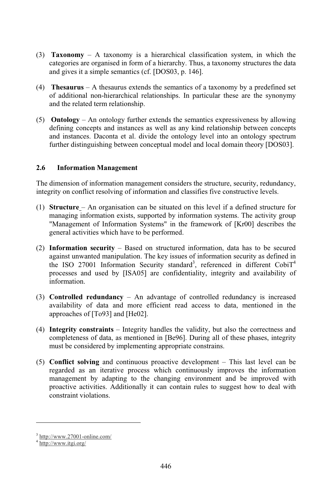- **Taxonomy** A taxonomy is a hierarchical classification system, in which the  $ay - A$  taxonomy is a hierarchical classification system, in which the are organised in form of a hierarchy. Thus, a taxonomy structures the data **xonomy**  $-$  A taxonomy is a hierarchical class egories are organised in form of a hierarchy. Thus gives it a simple semantics (cf. [DOS03, p. 146]. categories are organised in form of a hierarchy. Thus, a taxonomy structures the data<br>and gives it a simple semantics (cf. [DOS03, p. 146].<br>**Thesaurus** – A thesaurus extends the semantics of a taxonomy by a predefined set and gives it a simple semantics (cf. [DOS03, p. 146].
- ad gives it a simple semantics (cf. [DOS03, p. 146].<br> **Thesaurus** A thesaurus extends the semantics of a taxonomy by a predefined set<br>
additional non-hierarchical relationships. In particular these are the synonymy **Thesaurus**  $-$  A thesaurus extense of additional non-hierarchical related term relationship. of additional non-hierarchical relationships. In particular these are the synonymy and the related term relationship.
- related term relationship.<br>gy An ontology further extends the semantics expressiveness by allowing<br>concepts and instances as well as any kind relationship between concepts intology – An ontology further extends the semantics expressiveness by allowing<br>ining concepts and instances as well as any kind relationship between concepts<br>instances. Daconta et al. divide the ontology level into an ont Ontol defining concepts and instances as well as any kind relationship between concepts and instances. Daconta et al. divide the ontology level into an ontology spectrum **2.6 Information Management**

## 2.6 Information Management

2.6 Information Management<br>The dimension of information management considers the structure, security, redundancy, **nformation Management**<br>ension of information management considers the structure, security, redund<br>on conflict resolving of information and classifies five constructive levels. e dimension of information management considers the structure, security, redundancy, egrity on conflict resolving of information and classifies five constructive levels.<br>**Structure** – An organisation can be situated on thi grity on cc

- inflict resolving of information and classifies five constructive levels.<br> **E**-An organisation can be situated on this level if a defined structure for<br>
information exists, supported by information systems. The activity gr An organisation can be situated on this level if a defined structure for primation exists, supported by information systems. The activity group of Information Systems" in the framework of [Kr00] describes the (1) **Structure** – An organisation can be situated on this level if a defined structure for "Management of Information Systems" in the framework of [Kr00] describes the **Information** Information Systems" in the framework of [Kr00] describes the general activities which have to be performed.<br>**Information security** – Based on structured information, data has to be secured general activities which have to be performed.
- activities which have to be performed.<br> **ation security** Based on structured information, data has to be secured<br>
unwanted manipulation. The key issues of information security as defined in **Sormation security** – Based on structured information, data has to be secured in the unit unwanted manipulation. The key issues of information security as defined in ISO 27001 Information Security standard<sup>3</sup>, referenced **Information security** – Based on structured information, data has to be secured **ion security** – Based on structured information, data has to be secured in variated manipulation. The key issues of information security as defined in 27001 Information Security standard<sup>3</sup>, referenced in different CobiT against unwanted manipulation. The key issues of information security as defined in processes and used by [ISA05] are confidentiality, integrity and availability of information.
- n.<br>
1 **redundancy** An advantage of controlled redundancy is increased<br>
of data and more efficient read access to data, mentioned in the **redundancy** – An and more equal to f  $[T_093]$  and  $[H_092]$ . availability of data and more efficient read access to data, mentioned in the approaches of [To93] and [He02].<br>**Integrity constraints** – Integrity handles the validity, but also the correctness and approaches of  $[To93]$  and  $[He02]$ .
- f [To93] and [He02].<br> **Instraints** Integrity handles the validity, but also the correctness and<br>
of data, as mentioned in [Be96]. During all of these phases, integrity grity constraints – Integrity handles the validity, but bleteness of data, as mentioned in [Be96]. During all c be considered by implementing appropriate constrains. completeness of data, as mentioned in [Be96]. During all of these phases, integrity<br>must be considered by implementing appropriate constrains.<br>**Conflict solving** and continuous proactive development – This last level can b must be considered by implementing appropriate constrains.
- considered by implementing appropriate constrains.<br> **solving** and continuous proactive development This last level can be<br>
as an iterative process which continuously improves the information is and continuous proactive development – This last level can be iterative process which continuously improves the information adapting to the changing environment and be improved with Conflict management by adapting to the changing environment and be improved with regarded as an iterative process which continuously improves the information proactive activities. Additionally it can contain rules to suggest how to deal with constraint violations

http://www.itgi.org/

3

 $nup$ ://www.2/001-online.com/

http://www.itgi.org/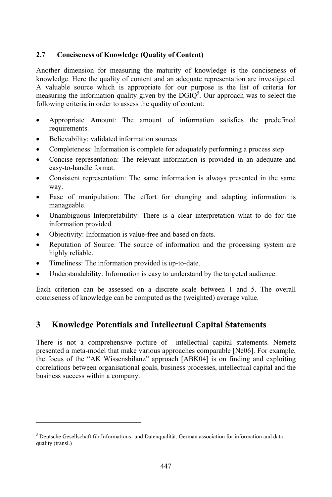# **of Knowledge (Quality of Content)** knowledge.

Conciseness of Knowledge (Quality of Content)<br>dimension for measuring the maturity of knowledge is the conciseness of ciseness of Knowledge (Quality of Content)<br>mension for measuring the maturity of knowledge is the conciseness of<br>Here the quality of content and an adequate representation are investigated. Another dimension for measuring the maturity of knowledge is the conciseness of knowledge. Here the quality of content and an adequate representation are investigated. A valuable source which is appropriate for our purpose Another dimension for measuring the maturity of kr. limension for measuring the maturity of knowledge is the conciseness of e. Here the quality of content and an adequate representation are investigated.<br>
Le source which is appropriate for our purpose is the list of criter knowledge. Here the quality of content and an adequate representation are investigated. A valuable source which is appropriate for our purpose is the list of criteria for E. Here the quality of content and an adequate<br>le source which is appropriate for our purp<br>g the information quality given by the  $DGIQ^5$ ,<br>criteria in order to assess the quality of content: measuring the information quality given by the DGIQ<sup>3</sup>. Our approach was to select the following criteria in order to assess the quality of content:<br>• Appropriate Amount: The amount of information satisfies the predefined following criteria in order to assess the quality of content:

- requirements. • Appropriate Amount: The amount of<br>requirements.<br>• Believability: validated information sources
- 
- 
- Completeness: Information is complete for adequately performing a process step<br>
 Completeness: Information is complete for adequately performing a process step<br>
 Concise representation: The relevant information is prov • Believability: validated information sources<br>• Completeness: Information is complete for adequately performing a process step<br>• Concise representation: The relevant information is provided in an adequate and • Concise representation: The relevant information is provided in an adequate and easy-to-handle format.<br>• Consistent representation: The same information is always presented in the same  $\frac{1}{2}$
- Consistent representation: The same information is always presented in the same<br>way.<br>• Ease of manipulation: The effort for changing and adapting information is Consistent 1 vay.<br>• Ease of manipulation: The effort for changing and adapting information is
- manageable.
- Unambiguous Interpretability: There is a clear interpretation what to do for the information provided. • Unambiguous Interpretability: There is a clear interpretability.<br>
• Objectivity: Information is value-free and based on facts.<br>
• Reputation of Source: The source of information and highly reliable.
- 
- Reputation of Source: The source of information and the processing system are highly reliable.<br>Timeliness: The information provided is up-to-date. • Understandability: Information is easy to understand by the targeted audience.<br>• Understandability: Information is easy to understand by the targeted audience.
- $\bullet$

5

quality in the control of the control of the control of the control of the control of the control of the control of the control of the control of the control of the control of the control of the control of the control of t

I imeliness: The information provided is up-to-date.<br>Understandability: Information is easy to understand by the targeted audience.<br>criterion can be assessed on a discrete scale between 1 and 5. The overall • Unders

• Understandability: Information is easy to understand by the targeted auch<br> **Each** criterion can be assessed on a discrete scale between 1 and 5.<br>
conciseness of knowledge can be computed as the (weighted) average value. **Potentials and Intellectual Capital Statements**

## $\overline{a}$ **Knowledge Potentials and Intellectual Capital Statements**<br>is not a comprehensive picture of intellectual capital statements. Nemetz  $\mathfrak{p}$   $\mathbf{M}$

owledge Potentials and Intellectual Capital Statements<br>not a comprehensive picture of intellectual capital statements. Nemetz<br>a meta-model that make various approaches comparable [Ne06]. For example, focus of the "AK Wissensbilanz" approaches comparable [Ne06]. For example, focus of the "AK Wissensbilanz" approach [ABK04] is on finding and exploiting There is not a comprehensive picture of intellectual capital statements. Nemetz or a comprehensive picture of intellectual capital statements. Nemetz<br>meta-model that make various approaches comparable [Ne06]. For example,<br>f the "AK Wissensbilanz" approach [ABK04] is on finding and exploiting<br>between o presente the focus of the "AK Wissensbilanz" approach [ABK04] is on finding and exploiting correlations between organisational goals, business processes, intellectual capital and the business success within a company.

Deutsche Gesellschaft für Informations- und Datenqualität, German association for information and data sche Ges<br>(transl.)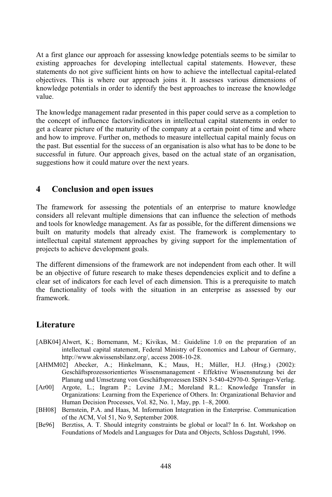At a first glance our approach for assessing knowledge potentials seems to be similar to ackst glance our approach for assessing knowledge potentials seems to be similar to<br>approaches for developing intellectual capital statements. However, these glance our approach for assessing knowledge potentials seems to be similar to<br>pproaches for developing intellectual capital statements. However, these<br>do not give sufficient hints on how to achieve the intellectual capital At a first g plance our approach for assessing knowledge potentials seems to be similar to<br>pproaches for developing intellectual capital statements. However, these<br>do not give sufficient hints on how to achieve the intellectual capital existing aj poroaches for developing intellectual capital statements. However, these<br>do not give sufficient hints on how to achieve the intellectual capital-related<br>This is where our approach joins it. It assesses various dimensions o statem knowledge potentials in order to identify the best approaches to increase the knowledge wledge potentials in order to identify the best approaches to increase the knowledge<br>i.e.<br>knowledge management radar presented in this paper could serve as a completion to value.

value.<br>The knowledge management radar presented in this paper could serve as a completion to<br>the concept of influence factors/indicators in intellectual capital statements in order to e knowledge management radar presented in this paper could serve as a completion to concept of influence factors/indicators in intellectual capital statements in order to a clearer picture of the maturity of the company at The knowledge management radar presented in this paper could serve as a completion to<br>the concept of influence factors/indicators in intellectual capital statements in order to<br>get a clearer picture of the maturity of the the concept of influence factors/indicators in intellectual capital statements in order to concept of influence factors/indicators in intellectual capital statements in order to a clearer picture of the maturity of the company at a certain point of time and where if how to improve. Further on, methods to measure For picture of the maturity of the company at a certain point of time and where<br>the improve. Further on, methods to measure intellectual capital mainly focus on<br>the sesential for the success of an organisation is also what and how to the past. But essential for the success of an organisation is also what has to be done to be successful in future. Our approach gives, based on the actual state of an organisation, suggestions how it could mature over the next years. **a**<br> **a**<br> **d**<br> **d**<br> **d**<br> **conclusion and open issues** 

## $\blacktriangleleft$

**Conclusion and open issues**<br>framework for assessing the potentials of an enterprise to mature knowledge 4 Conclusion and open issues<br>The framework for assessing the potentials of an enterprise to mature knowledge<br>considers all relevant multiple dimensions that can influence the selection of methods to framework for assessing the potentials of an enterprise to mature knowledge siders all relevant multiple dimensions that can influence the selection of methods tools for knowledge management. As far as possible, for the framework for assessing the potentials of an enterprise to mature knowledge<br>iders all relevant multiple dimensions that can influence the selection of methods<br>tools for knowledge management. As far as possible, for the dif considers all relevant multiple dimensions that can influence the selection of methods all relevant multiple dimensions that can influence the selection of methods<br>or knowledge management. As far as possible, for the different dimensions we<br>naturity models that already exist. The framework is complementation and tool is for knowledge management.<br>
In maturity models that alrea<br>

ual capital statement approact<br>
to achieve development goals. inte intellectual capital statement approaches by giving support for the implementation of<br>projects to achieve development goals.<br>The different dimensions of the framework are not independent from each other. It will projects to achieve development goals.

ojects to achieve development goals.<br>
an objective of future research to make theses dependencies explicit and to define a<br>
an objective of future research to make theses dependencies explicit and to define a different dimensions of the framework are not independent from each other. It will<br>a objective of future research to make theses dependencies explicit and to define a<br>set of indicators for each level of each dimension. Thi The e different dimensions of the framework are not independent from each other. It will<br>an objective of future research to make theses dependencies explicit and to define a<br>ar set of indicators for each level of each dimensio be an objec the functionality of tools with the situation in an enterprise as assessed by our framework.

## $\mathbf{I}$   $:$   $\mathbf{I}$   $\mathbf{I}$   $\mathbf{I}$   $\mathbf{I}$   $\mathbf{I}$  $\overline{\mathbf{u}}$

- K.: Bornemann, M.; Kivikas, M.; Guideline 1.0 on the preparation of an capital statement, M.; Kivikas, M.: Guideline 1.0 on the preparation of an capital statement. Federal Ministry of Economics and Labour of Germany, Alwert, K.; Bornemann, M.; Kivikas, M.: Guidel<br>intellectual capital statement, Federal Ministry of E<br>http://www.akwissensbilanz.org/, access 2008-10-28. [ABK04] AI wert, K.; Bornemann, M.; Kıvıkas, M.: Guideline 1.0 on the preparation of an ellectual capital statement, Federal Ministry of Economics and Labour of Germany, p://www.akwissensbilanz.org/, access 2008-10-28.<br>Abecker. A.: H intellectual capital statemen http://www.akwissensbilanz.org/, access 2008-10-28.
- t, Federal Ministry of Economics and Labour of Germany,<br>org/, access 2008-10-28.<br>mann, K.; Maus, H.; Müller, H.J. (Hrsg.) (2002):<br>Wissensmanagement Effektive Wissensnutzung bei der ww.akwissensbilanz.org/, access 2008-10-28.<br>ecker, A.; Hinkelmann, K.; Maus, H.; Müller, H.J. (Hrsg.) (2002):<br>tsprozessorientiertes Wissensmanagement - Effektive Wissensnutzung bei der<br>und Umsetzung von Geschäftsprozessen [AHM M02J Abecker, A.; Hinkelmann, K.; Maus, H.; Müller, H.J. (Hrsg.) (2002): Geschäftsprozessorientiertes Wissensmanagement - Effektive Wissensmutzung bei der Planung und Umsetzung von Geschäftsprozessen ISBN 3-540-42970-0. Sp Geschäftsprozessorientiertes Wissensmanagement - Effektive Wissensnutzung bei der Planung
- essorientiertes Wissensmanagement Effektive Wissensnutzung bei der<br>Imsetzung von Geschäftsprozessen ISBN 3-540-42970-0. Springer-Verlag.<br>Ingram P.; Levine J.M.; Moreland R.L.: Knowledge Transfer in<br>Learning from the Expe Argote, L.; Ingram P.; Levine J.M.; Moreland R.L.: Knowledge Transfer in  $[Ar00]$ Argote, L.; Ingram P.; Levine J.M.; Moreland R.L.: Knowledge Transfer in Organizations: Learning from the Experience of Others. In: Organizational Behavior and Human Decision Processes, Vol. 82, No. 1, May, pp. 1–8, 2000.<br>  $\mathbf{o}$
- Human Decision Processes, Vol. 82, No. 1, May, pp. 1–8, 2000.<br>Bernstein, P.A. and Haas, M. Information Integration in the En<br>of the ACM, Vol 51, No 9, September 2008. Human Decision Processes, Vol. 82, No. 1, May, pp. 1–8, 2000.<br>
Bernstein, P.A. and Haas, M. Information Integration in the Enterprise. Communication<br>
of the ACM, Vol 51, No 9, September 2008.<br>
Berztiss. A. T. Should integr Bernstein, P
- Berztiss, A. T. Should integrity constraints be global or local? In 6. Int. Workshop on Foundations of Models and Languages for Data and Objects, Schloss Dagstuhl, 1996.